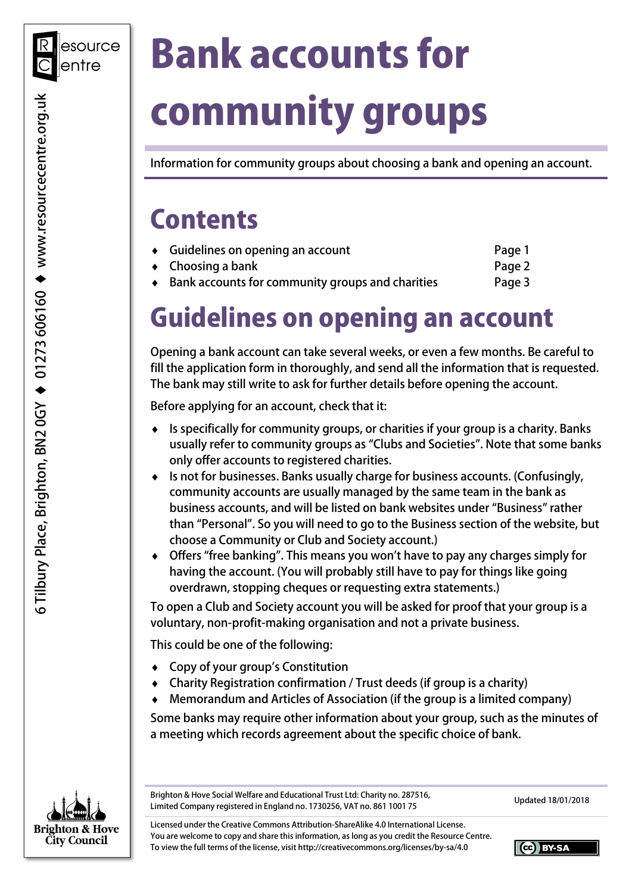# Bank accounts for community groups

Information for community groups about choosing a bank and opening an account.

### **Contents**

| $\bullet$ Guidelines on opening an account         | Page 1 |
|----------------------------------------------------|--------|
| $\bullet$ Choosing a bank                          | Page 2 |
| • Bank accounts for community groups and charities | Page 3 |

# Guidelines on opening an account

 Opening a bank account can take several weeks, or even a few months. Be careful to fill the application form in thoroughly, and send all the information that is requested. The bank may still write to ask for further details before opening the account.

Before applying for an account, check that it:

- ♦ Is specifically for community groups, or charities if your group is a charity. Banks usually refer to community groups as "Clubs and Societies". Note that some banks only offer accounts to registered charities.
- ♦ Is not for businesses. Banks usually charge for business accounts. (Confusingly, community accounts are usually managed by the same team in the bank as business accounts, and will be listed on bank websites under "Business" rather than "Personal". So you will need to go to the Business section of the website, but choose a Community or Club and Society account.)
- ♦ Offers "free banking". This means you won't have to pay any charges simply for having the account. (You will probably still have to pay for things like going overdrawn, stopping cheques or requesting extra statements.)

 To open a Club and Society account you will be asked for proof that your group is a voluntary, non-profit-making organisation and not a private business.

This could be one of the following:

- ♦ Copy of your group's Constitution
- ♦ Charity Registration confirmation / Trust deeds (if group is a charity)
- ♦ Memorandum and Articles of Association (if the group is a limited company)

 Some banks may require other information about your group, such as the minutes of a meeting which records agreement about the specific choice of bank.



Brighton & Hove Social Welfare and Educational Trust Ltd: Charity no. 287516, Brighton & Hove Social Welfare and Educational Trust Ltd: Charity no. 287516,<br>Limited Company registered in England no. 1730256, VAT no. 861 1001 75

 Licensed under the Creative Commons Attribution-ShareAlike 4.0 International License. You are welcome to copy and share this information, as long as you credit the Resource Centre. To view the full terms of the license, visit <http://creativecommons.org/licenses/by-sa/4.0>

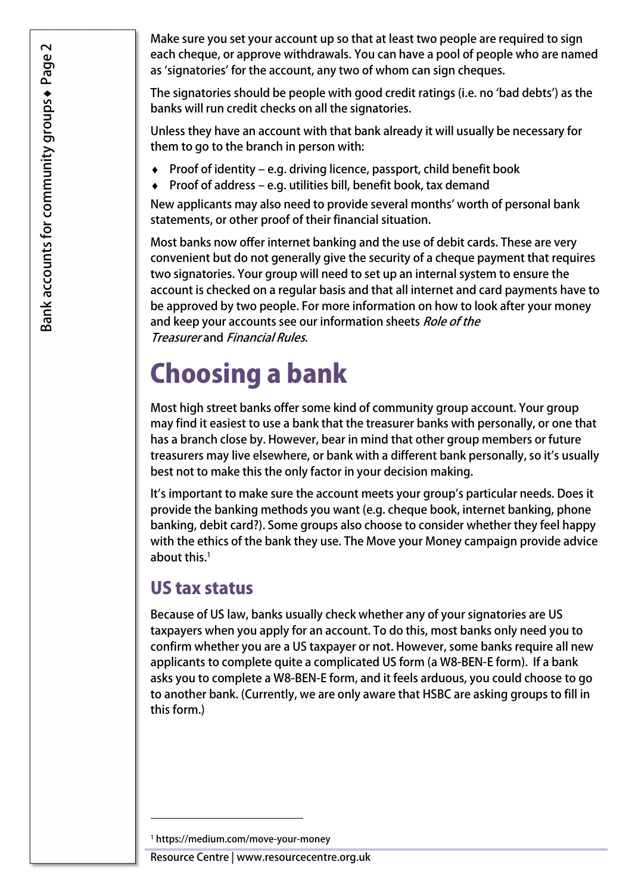Make sure you set your account up so that at least two people are required to sign each cheque, or approve withdrawals. You can have a pool of people who are named as 'signatories' for the account, any two of whom can sign cheques.

 The signatories should be people with good credit ratings (i.e. no 'bad debts') as the banks will run credit checks on all the signatories.

 Unless they have an account with that bank already it will usually be necessary for them to go to the branch in person with:

- ♦ Proof of identity e.g. driving licence, passport, child benefit book
- $\bullet$  Proof of address e.g. utilities bill, benefit book, tax demand

 New applicants may also need to provide several months' worth of personal bank statements, or other proof of their financial situation.

 Most banks now offer internet banking and the use of debit cards. These are very convenient but do not generally give the security of a cheque payment that requires two signatories. Your group will need to set up an internal system to ensure the account is checked on a regular basis and that all internet and card payments have to be approved by two people. For more information on how to look after your money and keep your accounts see our information sheets *Role of the* Treasurer and Financial Rules.

# Choosing a bank

 Most high street banks offer some kind of community group account. Your group may find it easiest to use a bank that the treasurer banks with personally, or one that has a branch close by. However, bear in mind that other group members or future treasurers may live elsewhere, or bank with a different bank personally, so it's usually best not to make this the only factor in your decision making.

 It's important to make sure the account meets your group's particular needs. Does it provide the banking methods you want (e.g. cheque book, internet banking, phone banking, debit card?). Some groups also choose to consider whether they feel happy with the ethics of the bank they use. The Move your Money campaign provide advice about this.<sup>1</sup>

#### US tax status

 Because of US law, banks usually check whether any of your signatories are US taxpayers when you apply for an account. To do this, most banks only need you to confirm whether you are a US taxpayer or not. However, some banks require all new applicants to complete quite a complicated US form (a W8-BEN-E form). If a bank asks you to complete a W8-BEN-E form, and it feels arduous, you could choose to go to another bank. (Currently, we are only aware that HSBC are asking groups to fill in this form.)

1

Resource Centre | <www.resourcecentre.org.uk>

<sup>1</sup> <https://medium.com/move-your-money>